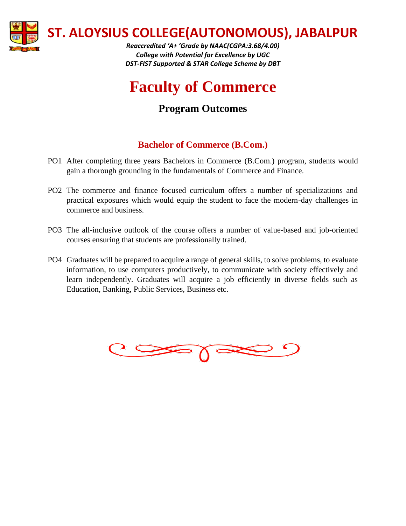

**ST. ALOYSIUS COLLEGE(AUTONOMOUS), JABALPUR**

*Reaccredited 'A+ 'Grade by NAAC(CGPA:3.68/4.00) College with Potential for Excellence by UGC DST-FIST Supported & STAR College Scheme by DBT*

## **Faculty of Commerce**

## **Program Outcomes**

## **Bachelor of Commerce (B.Com.)**

- PO1 After completing three years Bachelors in Commerce (B.Com.) program, students would gain a thorough grounding in the fundamentals of Commerce and Finance.
- PO2 The commerce and finance focused curriculum offers a number of specializations and practical exposures which would equip the student to face the modern-day challenges in commerce and business.
- PO3 The all-inclusive outlook of the course offers a number of value-based and job-oriented courses ensuring that students are professionally trained.
- PO4 Graduates will be prepared to acquire a range of general skills, to solve problems, to evaluate information, to use computers productively, to communicate with society effectively and learn independently. Graduates will acquire a job efficiently in diverse fields such as Education, Banking, Public Services, Business etc.